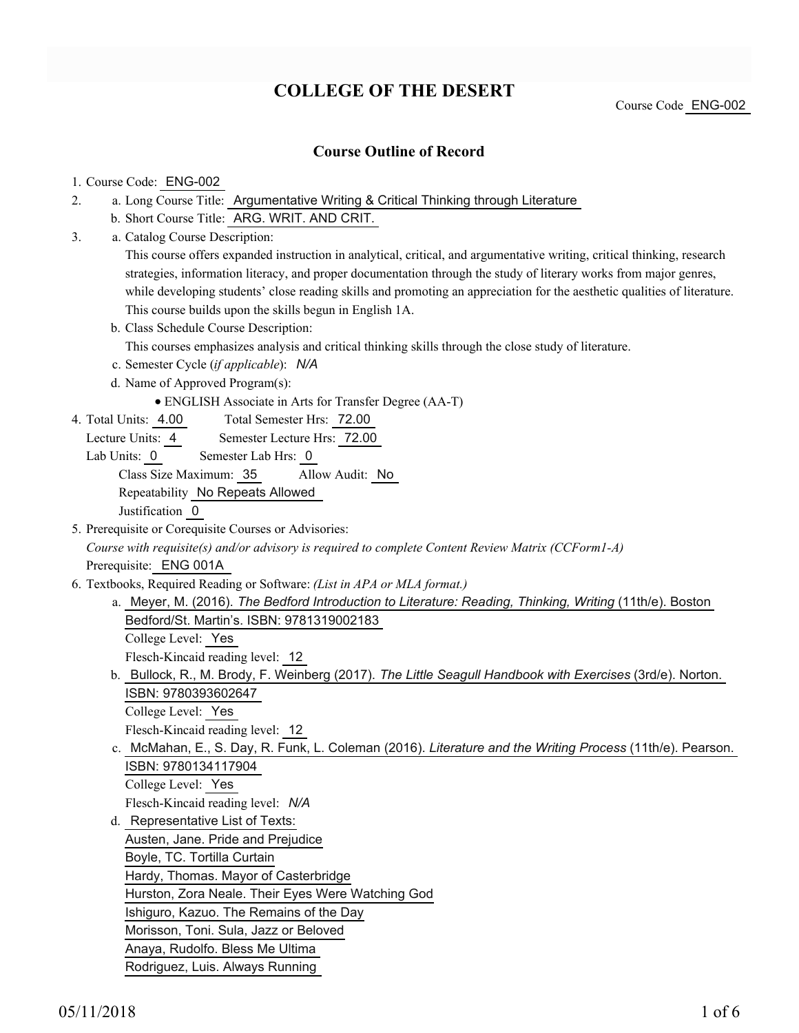# **COLLEGE OF THE DESERT**

### **Course Outline of Record**

### 1. Course Code: ENG-002

- a. Long Course Title: Argumentative Writing & Critical Thinking through Literature 2.
	- b. Short Course Title: ARG. WRIT. AND CRIT.
- Catalog Course Description: a. 3.

This course offers expanded instruction in analytical, critical, and argumentative writing, critical thinking, research strategies, information literacy, and proper documentation through the study of literary works from major genres, while developing students' close reading skills and promoting an appreciation for the aesthetic qualities of literature. This course builds upon the skills begun in English 1A.

b. Class Schedule Course Description:

This courses emphasizes analysis and critical thinking skills through the close study of literature.

- c. Semester Cycle (*if applicable*): *N/A*
- d. Name of Approved Program(s):
	- ENGLISH Associate in Arts for Transfer Degree (AA-T)
- Total Semester Hrs: 72.00 4. Total Units: 4.00
	- Lecture Units: 4 Semester Lecture Hrs: 72.00
	- Lab Units: 0 Semester Lab Hrs: 0

Class Size Maximum: 35 Allow Audit: No

Repeatability No Repeats Allowed

Justification 0

- 5. Prerequisite or Corequisite Courses or Advisories: *Course with requisite(s) and/or advisory is required to complete Content Review Matrix (CCForm1-A)* Prerequisite: ENG 001A
- Textbooks, Required Reading or Software: *(List in APA or MLA format.)* 6.
	- a. Meyer, M. (2016). *The Bedford Introduction to Literature: Reading, Thinking, Writing* (11th/e). Boston Bedford/St. Martin's. ISBN: 9781319002183 College Level: Yes Flesch-Kincaid reading level: 12
	- b. Bullock, R., M. Brody, F. Weinberg (2017). *The Little Seagull Handbook with Exercises* (3rd/e). Norton. ISBN: 9780393602647 College Level: Yes
	- Flesch-Kincaid reading level: 12
	- c. McMahan, E., S. Day, R. Funk, L. Coleman (2016). *Literature and the Writing Process* (11th/e). Pearson. ISBN: 9780134117904 College Level: Yes
	- Flesch-Kincaid reading level: *N/A*
	- d. Representative List of Texts: Austen, Jane. Pride and Prejudice Boyle, TC. Tortilla Curtain Hardy, Thomas. Mayor of Casterbridge Hurston, Zora Neale. Their Eyes Were Watching God Ishiguro, Kazuo. The Remains of the Day Morisson, Toni. Sula, Jazz or Beloved Anaya, Rudolfo. Bless Me Ultima Rodriguez, Luis. Always Running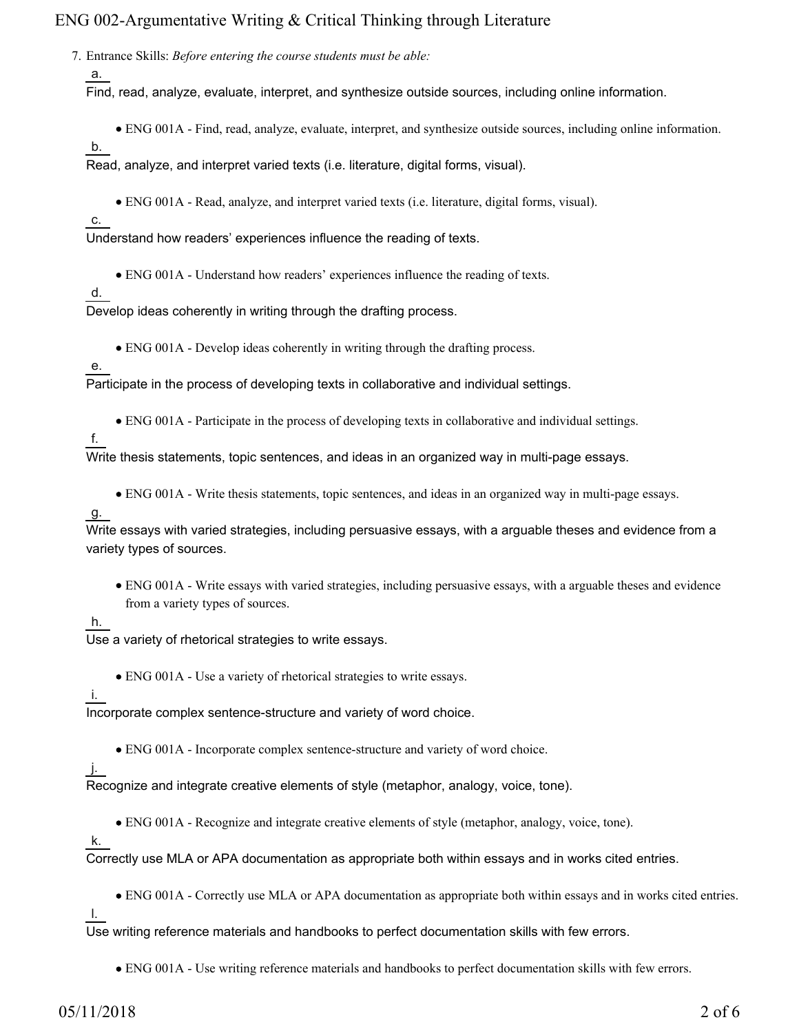Entrance Skills: *Before entering the course students must be able:* 7.

a.

Find, read, analyze, evaluate, interpret, and synthesize outside sources, including online information.

- ENG 001A Find, read, analyze, evaluate, interpret, and synthesize outside sources, including online information.
- b.

Read, analyze, and interpret varied texts (i.e. literature, digital forms, visual).

ENG 001A - Read, analyze, and interpret varied texts (i.e. literature, digital forms, visual).

c.

Understand how readers' experiences influence the reading of texts.

ENG 001A - Understand how readers' experiences influence the reading of texts.

d.

Develop ideas coherently in writing through the drafting process.

ENG 001A - Develop ideas coherently in writing through the drafting process.

e.

Participate in the process of developing texts in collaborative and individual settings.

ENG 001A - Participate in the process of developing texts in collaborative and individual settings.

f.

Write thesis statements, topic sentences, and ideas in an organized way in multi-page essays.

ENG 001A - Write thesis statements, topic sentences, and ideas in an organized way in multi-page essays.

#### g.

Write essays with varied strategies, including persuasive essays, with a arguable theses and evidence from a variety types of sources.

ENG 001A - Write essays with varied strategies, including persuasive essays, with a arguable theses and evidence from a variety types of sources.

### h.

Use a variety of rhetorical strategies to write essays.

ENG 001A - Use a variety of rhetorical strategies to write essays.

i.

Incorporate complex sentence-structure and variety of word choice.

ENG 001A - Incorporate complex sentence-structure and variety of word choice.

j.

Recognize and integrate creative elements of style (metaphor, analogy, voice, tone).

ENG 001A - Recognize and integrate creative elements of style (metaphor, analogy, voice, tone).

k.

Correctly use MLA or APA documentation as appropriate both within essays and in works cited entries.

ENG 001A - Correctly use MLA or APA documentation as appropriate both within essays and in works cited entries.

l.

Use writing reference materials and handbooks to perfect documentation skills with few errors.

ENG 001A - Use writing reference materials and handbooks to perfect documentation skills with few errors.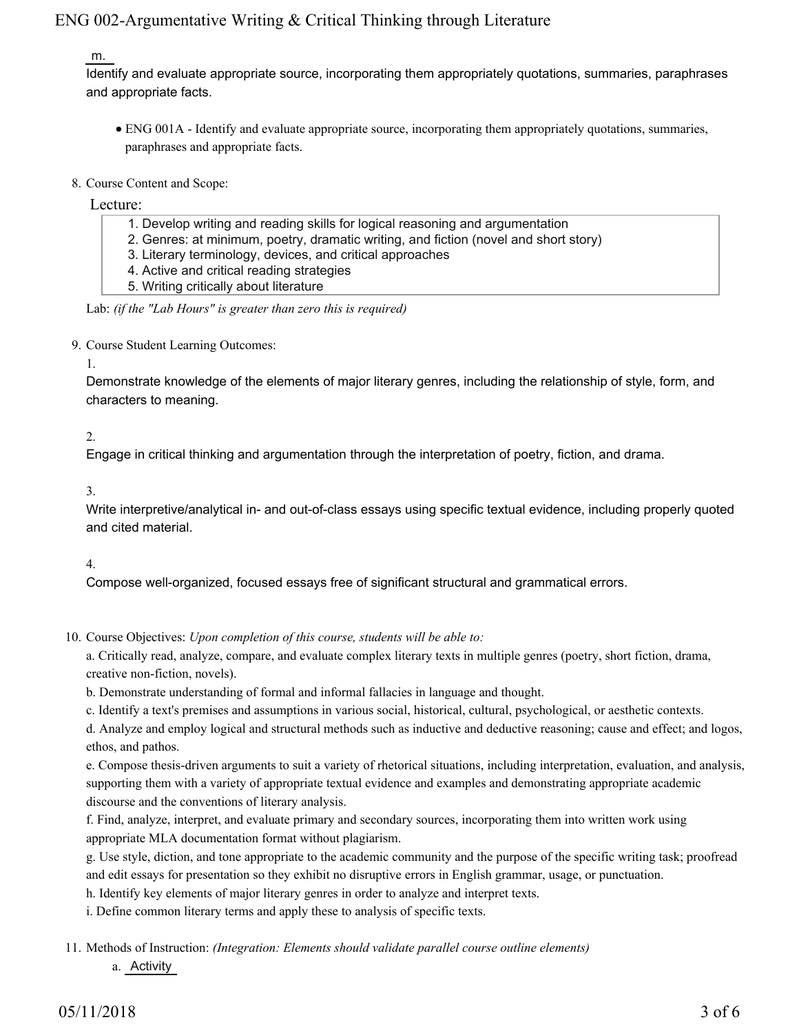#### m.

Identify and evaluate appropriate source, incorporating them appropriately quotations, summaries, paraphrases and appropriate facts.

- ENG 001A Identify and evaluate appropriate source, incorporating them appropriately quotations, summaries, paraphrases and appropriate facts.
- 8. Course Content and Scope:

Lecture:

- 1. Develop writing and reading skills for logical reasoning and argumentation
- 2. Genres: at minimum, poetry, dramatic writing, and fiction (novel and short story)
- 3. Literary terminology, devices, and critical approaches
- 4. Active and critical reading strategies
- 5. Writing critically about literature
- Lab: *(if the "Lab Hours" is greater than zero this is required)*
- 9. Course Student Learning Outcomes:

#### 1.

Demonstrate knowledge of the elements of major literary genres, including the relationship of style, form, and characters to meaning.

### 2.

Engage in critical thinking and argumentation through the interpretation of poetry, fiction, and drama.

#### 3.

Write interpretive/analytical in- and out-of-class essays using specific textual evidence, including properly quoted and cited material.

### 4.

Compose well-organized, focused essays free of significant structural and grammatical errors.

10. Course Objectives: Upon completion of this course, students will be able to:

a. Critically read, analyze, compare, and evaluate complex literary texts in multiple genres (poetry, short fiction, drama, creative non-fiction, novels).

b. Demonstrate understanding of formal and informal fallacies in language and thought.

c. Identify a text's premises and assumptions in various social, historical, cultural, psychological, or aesthetic contexts.

d. Analyze and employ logical and structural methods such as inductive and deductive reasoning; cause and effect; and logos, ethos, and pathos.

e. Compose thesis-driven arguments to suit a variety of rhetorical situations, including interpretation, evaluation, and analysis, supporting them with a variety of appropriate textual evidence and examples and demonstrating appropriate academic discourse and the conventions of literary analysis.

f. Find, analyze, interpret, and evaluate primary and secondary sources, incorporating them into written work using appropriate MLA documentation format without plagiarism.

g. Use style, diction, and tone appropriate to the academic community and the purpose of the specific writing task; proofread and edit essays for presentation so they exhibit no disruptive errors in English grammar, usage, or punctuation.

h. Identify key elements of major literary genres in order to analyze and interpret texts.

i. Define common literary terms and apply these to analysis of specific texts.

11. Methods of Instruction: *(Integration: Elements should validate parallel course outline elements)* a. Activity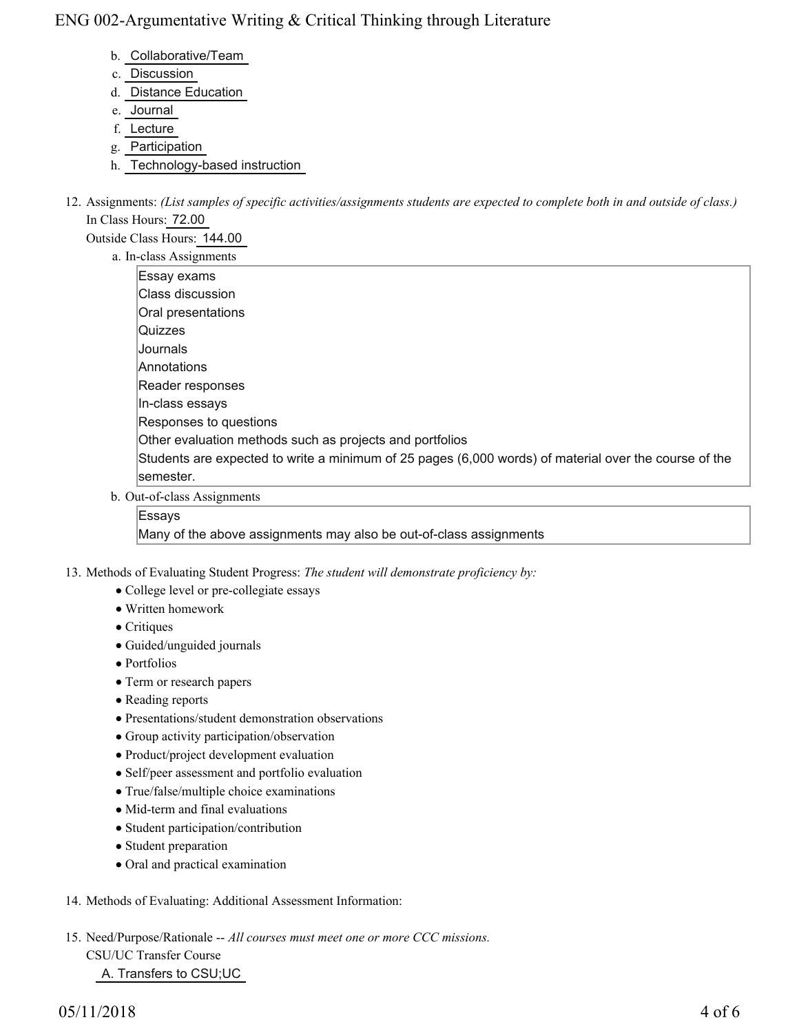- b. Collaborative/Team
- c. Discussion
- d. Distance Education
- e. Journal
- f. Lecture
- g. Participation
- h. Technology-based instruction
- 12. Assignments: (List samples of specific activities/assignments students are expected to complete both in and outside of class.) In Class Hours: 72.00

Outside Class Hours: 144.00

a. In-class Assignments

| Essay exams                                                                                           |
|-------------------------------------------------------------------------------------------------------|
| Class discussion                                                                                      |
| Oral presentations                                                                                    |
| Quizzes                                                                                               |
| Journals                                                                                              |
| <b>Annotations</b>                                                                                    |
| Reader responses                                                                                      |
| In-class essays                                                                                       |
| Responses to questions                                                                                |
| Other evaluation methods such as projects and portfolios                                              |
| Students are expected to write a minimum of 25 pages (6,000 words) of material over the course of the |
| semester.                                                                                             |
| )ut-of-class Assignments                                                                              |

Out-of-class Assignments b.

### Essays

Many of the above assignments may also be out-of-class assignments

- 13. Methods of Evaluating Student Progress: The student will demonstrate proficiency by:
	- College level or pre-collegiate essays
	- Written homework
	- Critiques
	- Guided/unguided journals
	- Portfolios
	- Term or research papers
	- Reading reports
	- Presentations/student demonstration observations
	- Group activity participation/observation
	- Product/project development evaluation
	- Self/peer assessment and portfolio evaluation
	- True/false/multiple choice examinations
	- Mid-term and final evaluations
	- Student participation/contribution
	- Student preparation
	- Oral and practical examination
- 14. Methods of Evaluating: Additional Assessment Information:
- 15. Need/Purpose/Rationale -- All courses must meet one or more CCC missions. CSU/UC Transfer Course A. Transfers to CSU;UC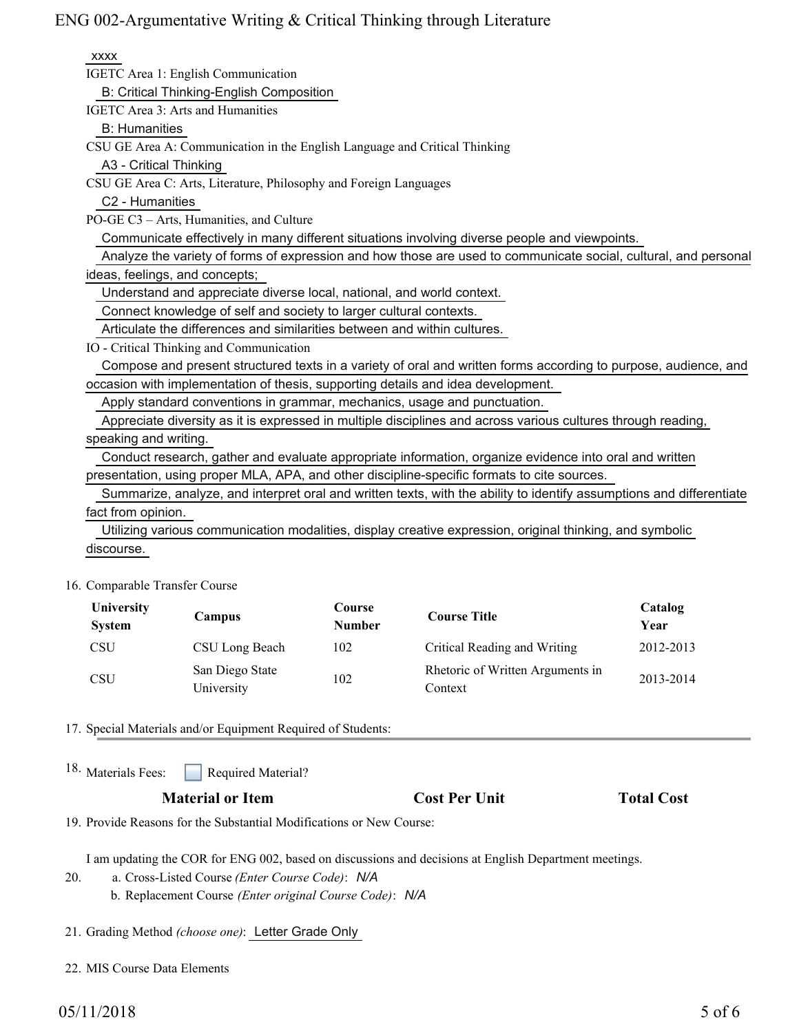| <b>XXXX</b>                                                                                                          |
|----------------------------------------------------------------------------------------------------------------------|
| IGETC Area 1: English Communication                                                                                  |
| B: Critical Thinking-English Composition                                                                             |
| IGETC Area 3: Arts and Humanities                                                                                    |
| <b>B:</b> Humanities                                                                                                 |
| CSU GE Area A: Communication in the English Language and Critical Thinking                                           |
| A3 - Critical Thinking                                                                                               |
| CSU GE Area C: Arts, Literature, Philosophy and Foreign Languages                                                    |
| C2 - Humanities                                                                                                      |
| PO-GE C3 - Arts, Humanities, and Culture                                                                             |
| Communicate effectively in many different situations involving diverse people and viewpoints.                        |
| Analyze the variety of forms of expression and how those are used to communicate social, cultural, and personal      |
| ideas, feelings, and concepts;                                                                                       |
| Understand and appreciate diverse local, national, and world context.                                                |
| Connect knowledge of self and society to larger cultural contexts.                                                   |
| Articulate the differences and similarities between and within cultures.                                             |
| IO - Critical Thinking and Communication                                                                             |
| Compose and present structured texts in a variety of oral and written forms according to purpose, audience, and      |
| occasion with implementation of thesis, supporting details and idea development.                                     |
| Apply standard conventions in grammar, mechanics, usage and punctuation.                                             |
| Appreciate diversity as it is expressed in multiple disciplines and across various cultures through reading,         |
| speaking and writing.                                                                                                |
| Conduct research, gather and evaluate appropriate information, organize evidence into oral and written               |
| presentation, using proper MLA, APA, and other discipline-specific formats to cite sources.                          |
| Summarize, analyze, and interpret oral and written texts, with the ability to identify assumptions and differentiate |
| fact from opinion.                                                                                                   |
| Utilizing various communication modalities, display creative expression, original thinking, and symbolic             |
| discourse.                                                                                                           |

16. Comparable Transfer Course

| University<br><b>System</b> | Campus                        | Course<br><b>Number</b> | <b>Course Title</b>                         | Catalog<br>Year |
|-----------------------------|-------------------------------|-------------------------|---------------------------------------------|-----------------|
| <b>CSU</b>                  | CSU Long Beach                | 102                     | Critical Reading and Writing                | 2012-2013       |
| <b>CSU</b>                  | San Diego State<br>University | 102                     | Rhetoric of Written Arguments in<br>Context | 2013-2014       |

17. Special Materials and/or Equipment Required of Students:

Required Material? 18. Materials Fees:

### **Material or Item Cost Per Unit Total Cost**

19. Provide Reasons for the Substantial Modifications or New Course:

I am updating the COR for ENG 002, based on discussions and decisions at English Department meetings.

- a. Cross-Listed Course *(Enter Course Code)*: *N/A* b. Replacement Course *(Enter original Course Code)*: *N/A* 20.
- 21. Grading Method *(choose one)*: Letter Grade Only
- 22. MIS Course Data Elements

# $05/11/2018$  5 of 6